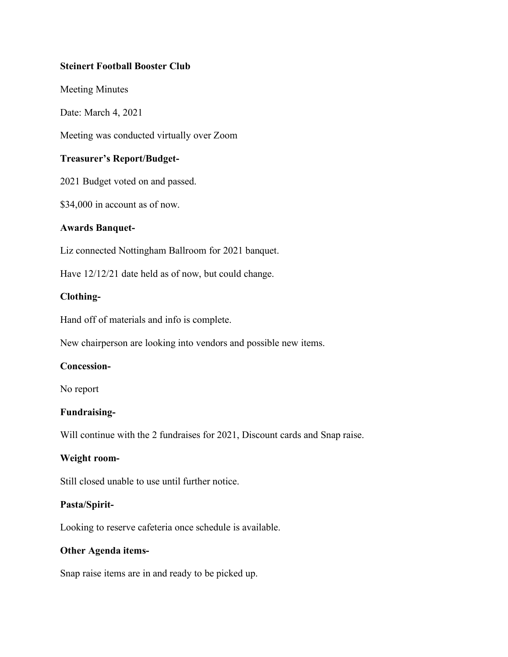# **Steinert Football Booster Club**

Meeting Minutes

Date: March 4, 2021

Meeting was conducted virtually over Zoom

# **Treasurer's Report/Budget-**

2021 Budget voted on and passed.

\$34,000 in account as of now.

### **Awards Banquet-**

Liz connected Nottingham Ballroom for 2021 banquet.

Have 12/12/21 date held as of now, but could change.

### **Clothing-**

Hand off of materials and info is complete.

New chairperson are looking into vendors and possible new items.

### **Concession-**

No report

# **Fundraising-**

Will continue with the 2 fundraises for 2021, Discount cards and Snap raise.

# **Weight room-**

Still closed unable to use until further notice.

### **Pasta/Spirit-**

Looking to reserve cafeteria once schedule is available.

### **Other Agenda items-**

Snap raise items are in and ready to be picked up.